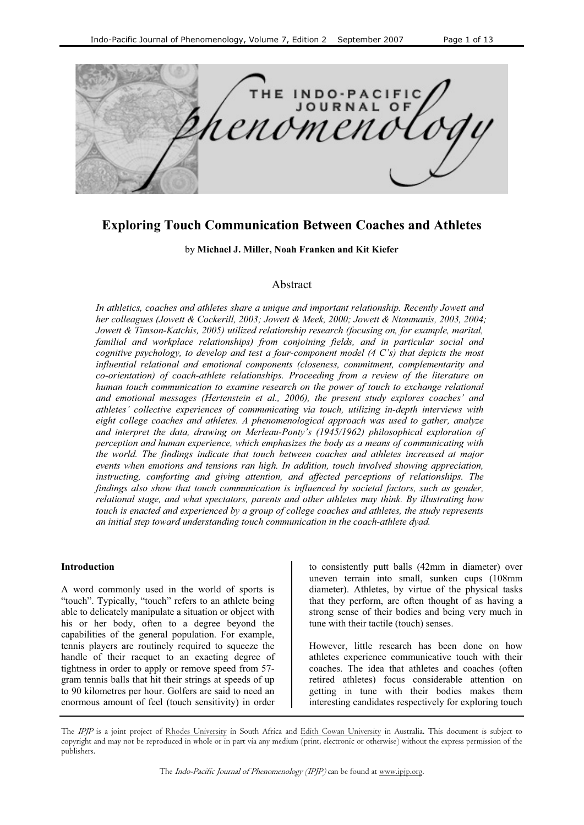

# **Exploring Touch Communication Between Coaches and Athletes**

by **Michael J. Miller, Noah Franken and Kit Kiefer**

# Abstract

*In athletics, coaches and athletes share a unique and important relationship. Recently Jowett and her colleagues (Jowett & Cockerill, 2003; Jowett & Meek, 2000; Jowett & Ntoumanis, 2003, 2004; Jowett & Timson-Katchis, 2005) utilized relationship research (focusing on, for example, marital,*  familial and workplace relationships) from conjoining fields, and in particular social and *cognitive psychology, to develop and test a four-component model (4 C's) that depicts the most influential relational and emotional components (closeness, commitment, complementarity and co-orientation) of coach-athlete relationships. Proceeding from a review of the literature on human touch communication to examine research on the power of touch to exchange relational and emotional messages (Hertenstein et al., 2006), the present study explores coaches' and athletes' collective experiences of communicating via touch, utilizing in-depth interviews with eight college coaches and athletes. A phenomenological approach was used to gather, analyze and interpret the data, drawing on Merleau-Ponty's (1945/1962) philosophical exploration of perception and human experience, which emphasizes the body as a means of communicating with the world. The findings indicate that touch between coaches and athletes increased at major events when emotions and tensions ran high. In addition, touch involved showing appreciation, instructing, comforting and giving attention, and affected perceptions of relationships. The findings also show that touch communication is influenced by societal factors, such as gender, relational stage, and what spectators, parents and other athletes may think. By illustrating how touch is enacted and experienced by a group of college coaches and athletes, the study represents an initial step toward understanding touch communication in the coach-athlete dyad.* 

#### **Introduction**

A word commonly used in the world of sports is "touch". Typically, "touch" refers to an athlete being able to delicately manipulate a situation or object with his or her body, often to a degree beyond the capabilities of the general population. For example, tennis players are routinely required to squeeze the handle of their racquet to an exacting degree of tightness in order to apply or remove speed from 57 gram tennis balls that hit their strings at speeds of up to 90 kilometres per hour. Golfers are said to need an enormous amount of feel (touch sensitivity) in order

to consistently putt balls (42mm in diameter) over uneven terrain into small, sunken cups (108mm diameter). Athletes, by virtue of the physical tasks that they perform, are often thought of as having a strong sense of their bodies and being very much in tune with their tactile (touch) senses.

However, little research has been done on how athletes experience communicative touch with their coaches. The idea that athletes and coaches (often retired athletes) focus considerable attention on getting in tune with their bodies makes them interesting candidates respectively for exploring touch

The IPJP is a joint project of Rhodes University in South Africa and Edith Cowan University in Australia. This document is subject to copyright and may not be reproduced in whole or in part via any medium (print, electronic or otherwise) without the express permission of the publishers.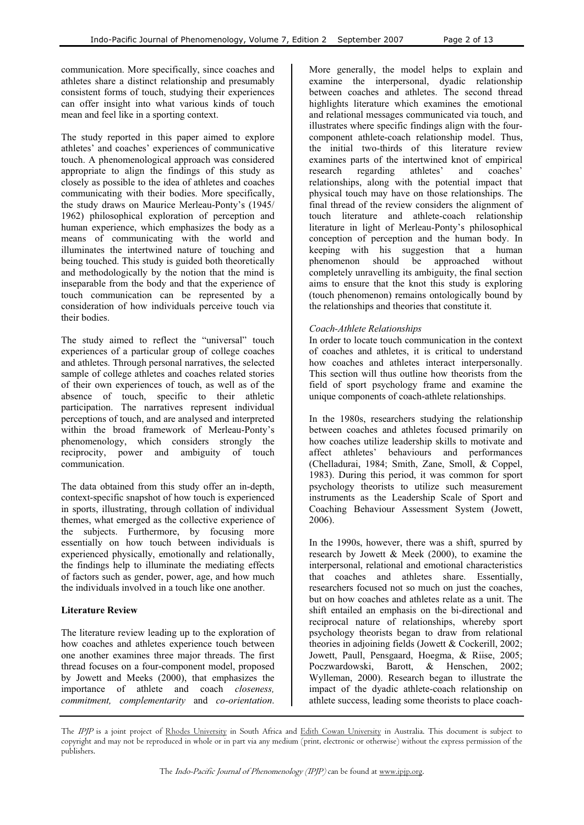communication. More specifically, since coaches and athletes share a distinct relationship and presumably consistent forms of touch, studying their experiences can offer insight into what various kinds of touch mean and feel like in a sporting context.

The study reported in this paper aimed to explore athletes' and coaches' experiences of communicative touch. A phenomenological approach was considered appropriate to align the findings of this study as closely as possible to the idea of athletes and coaches communicating with their bodies. More specifically, the study draws on Maurice Merleau-Ponty's (1945/ 1962) philosophical exploration of perception and human experience, which emphasizes the body as a means of communicating with the world and illuminates the intertwined nature of touching and being touched. This study is guided both theoretically and methodologically by the notion that the mind is inseparable from the body and that the experience of touch communication can be represented by a consideration of how individuals perceive touch via their bodies.

The study aimed to reflect the "universal" touch experiences of a particular group of college coaches and athletes. Through personal narratives, the selected sample of college athletes and coaches related stories of their own experiences of touch, as well as of the absence of touch, specific to their athletic participation. The narratives represent individual perceptions of touch, and are analysed and interpreted within the broad framework of Merleau-Ponty's phenomenology, which considers strongly the reciprocity, power and ambiguity of touch communication.

The data obtained from this study offer an in-depth, context-specific snapshot of how touch is experienced in sports, illustrating, through collation of individual themes, what emerged as the collective experience of the subjects. Furthermore, by focusing more essentially on how touch between individuals is experienced physically, emotionally and relationally, the findings help to illuminate the mediating effects of factors such as gender, power, age, and how much the individuals involved in a touch like one another.

### **Literature Review**

The literature review leading up to the exploration of how coaches and athletes experience touch between one another examines three major threads. The first thread focuses on a four-component model, proposed by Jowett and Meeks (2000), that emphasizes the importance of athlete and coach *closeness, commitment, complementarity* and *co-orientation*.

More generally, the model helps to explain and examine the interpersonal, dyadic relationship between coaches and athletes. The second thread highlights literature which examines the emotional and relational messages communicated via touch, and illustrates where specific findings align with the fourcomponent athlete-coach relationship model. Thus, the initial two-thirds of this literature review examines parts of the intertwined knot of empirical<br>research regarding athletes' and coaches' research regarding athletes' and coaches' relationships, along with the potential impact that physical touch may have on those relationships. The final thread of the review considers the alignment of touch literature and athlete-coach relationship literature in light of Merleau-Ponty's philosophical conception of perception and the human body. In keeping with his suggestion that a human phenomenon should be approached without completely unravelling its ambiguity, the final section aims to ensure that the knot this study is exploring (touch phenomenon) remains ontologically bound by the relationships and theories that constitute it.

### *Coach-Athlete Relationships*

In order to locate touch communication in the context of coaches and athletes, it is critical to understand how coaches and athletes interact interpersonally. This section will thus outline how theorists from the field of sport psychology frame and examine the unique components of coach-athlete relationships.

In the 1980s, researchers studying the relationship between coaches and athletes focused primarily on how coaches utilize leadership skills to motivate and affect athletes' behaviours and performances (Chelladurai, 1984; Smith, Zane, Smoll, & Coppel, 1983). During this period, it was common for sport psychology theorists to utilize such measurement instruments as the Leadership Scale of Sport and Coaching Behaviour Assessment System (Jowett, 2006).

In the 1990s, however, there was a shift, spurred by research by Jowett & Meek (2000), to examine the interpersonal, relational and emotional characteristics that coaches and athletes share. Essentially, researchers focused not so much on just the coaches, but on how coaches and athletes relate as a unit. The shift entailed an emphasis on the bi-directional and reciprocal nature of relationships, whereby sport psychology theorists began to draw from relational theories in adjoining fields (Jowett & Cockerill, 2002; Jowett, Paull, Pensgaard, Hoegma, & Riise, 2005; Poczwardowski, Barott, & Henschen, 2002; Wylleman, 2000). Research began to illustrate the impact of the dyadic athlete-coach relationship on athlete success, leading some theorists to place coach-

The IPJP is a joint project of Rhodes University in South Africa and Edith Cowan University in Australia. This document is subject to copyright and may not be reproduced in whole or in part via any medium (print, electronic or otherwise) without the express permission of the publishers.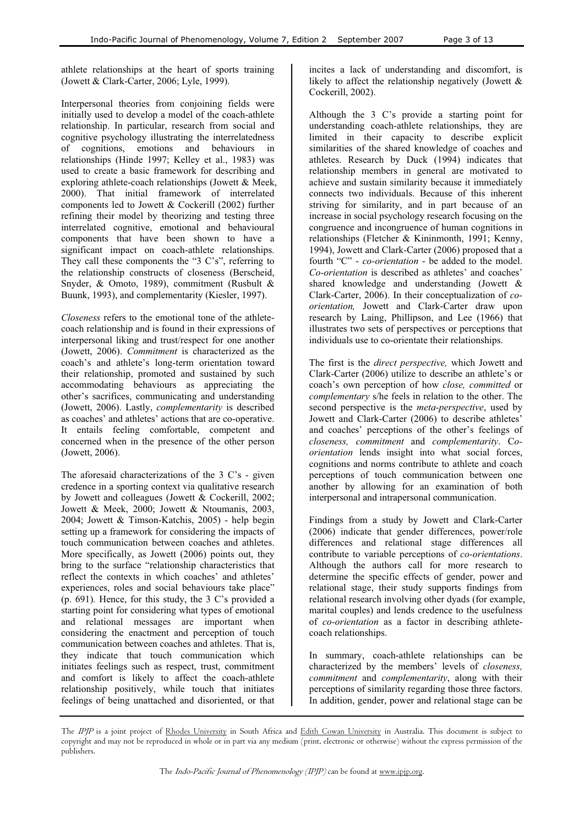athlete relationships at the heart of sports training (Jowett & Clark-Carter, 2006; Lyle, 1999).

Interpersonal theories from conjoining fields were initially used to develop a model of the coach-athlete relationship. In particular, research from social and cognitive psychology illustrating the interrelatedness of cognitions, emotions and behaviours in relationships (Hinde 1997; Kelley et al., 1983) was used to create a basic framework for describing and exploring athlete-coach relationships (Jowett & Meek, 2000). That initial framework of interrelated components led to Jowett & Cockerill (2002) further refining their model by theorizing and testing three interrelated cognitive, emotional and behavioural components that have been shown to have a significant impact on coach-athlete relationships. They call these components the "3  $C$ 's", referring to the relationship constructs of closeness (Berscheid, Snyder, & Omoto, 1989), commitment (Rusbult & Buunk, 1993), and complementarity (Kiesler, 1997).

*Closeness* refers to the emotional tone of the athletecoach relationship and is found in their expressions of interpersonal liking and trust/respect for one another (Jowett, 2006). *Commitment* is characterized as the coach's and athlete's long-term orientation toward their relationship, promoted and sustained by such accommodating behaviours as appreciating the other's sacrifices, communicating and understanding (Jowett, 2006). Lastly, *complementarity* is described as coaches' and athletes' actions that are co-operative. It entails feeling comfortable, competent and concerned when in the presence of the other person (Jowett, 2006).

The aforesaid characterizations of the 3 C's - given credence in a sporting context via qualitative research by Jowett and colleagues (Jowett & Cockerill, 2002; Jowett & Meek, 2000; Jowett & Ntoumanis, 2003, 2004; Jowett & Timson-Katchis, 2005) - help begin setting up a framework for considering the impacts of touch communication between coaches and athletes. More specifically, as Jowett (2006) points out, they bring to the surface "relationship characteristics that reflect the contexts in which coaches' and athletes' experiences, roles and social behaviours take place" (p. 691). Hence, for this study, the 3 C's provided a starting point for considering what types of emotional and relational messages are important when considering the enactment and perception of touch communication between coaches and athletes. That is, they indicate that touch communication which initiates feelings such as respect, trust, commitment and comfort is likely to affect the coach-athlete relationship positively, while touch that initiates feelings of being unattached and disoriented, or that

incites a lack of understanding and discomfort, is likely to affect the relationship negatively (Jowett & Cockerill, 2002).

Although the 3 C's provide a starting point for understanding coach-athlete relationships, they are limited in their capacity to describe explicit similarities of the shared knowledge of coaches and athletes. Research by Duck (1994) indicates that relationship members in general are motivated to achieve and sustain similarity because it immediately connects two individuals. Because of this inherent striving for similarity, and in part because of an increase in social psychology research focusing on the congruence and incongruence of human cognitions in relationships (Fletcher & Kininmonth, 1991; Kenny, 1994), Jowett and Clark-Carter (2006) proposed that a fourth "C" - *co-orientation* - be added to the model. *Co-orientation* is described as athletes' and coaches' shared knowledge and understanding (Jowett & Clark-Carter, 2006). In their conceptualization of *coorientation,* Jowett and Clark-Carter draw upon research by Laing, Phillipson, and Lee (1966) that illustrates two sets of perspectives or perceptions that individuals use to co-orientate their relationships.

The first is the *direct perspective,* which Jowett and Clark-Carter (2006) utilize to describe an athlete's or coach's own perception of how *close, committed* or *complementary* s/he feels in relation to the other. The second perspective is the *meta-perspective*, used by Jowett and Clark-Carter (2006) to describe athletes' and coaches' perceptions of the other's feelings of *closeness, commitment* and *complementarity*. C*oorientation* lends insight into what social forces, cognitions and norms contribute to athlete and coach perceptions of touch communication between one another by allowing for an examination of both interpersonal and intrapersonal communication.

Findings from a study by Jowett and Clark-Carter (2006) indicate that gender differences, power/role differences and relational stage differences all contribute to variable perceptions of *co-orientations*. Although the authors call for more research to determine the specific effects of gender, power and relational stage, their study supports findings from relational research involving other dyads (for example, marital couples) and lends credence to the usefulness of *co-orientation* as a factor in describing athletecoach relationships.

In summary, coach-athlete relationships can be characterized by the members' levels of *closeness, commitment* and *complementarity*, along with their perceptions of similarity regarding those three factors. In addition, gender, power and relational stage can be

The IPJP is a joint project of Rhodes University in South Africa and Edith Cowan University in Australia. This document is subject to copyright and may not be reproduced in whole or in part via any medium (print, electronic or otherwise) without the express permission of the publishers.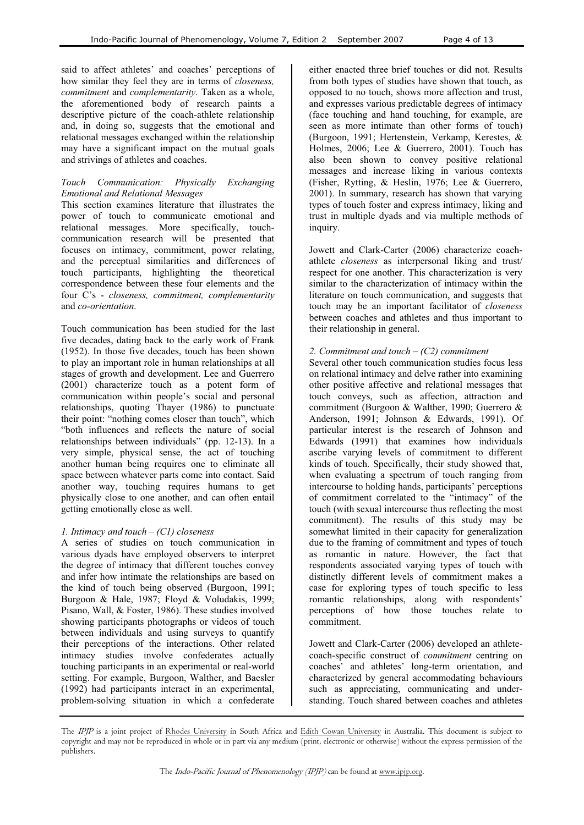said to affect athletes' and coaches' perceptions of how similar they feel they are in terms of *closeness, commitment* and *complementarity*. Taken as a whole, the aforementioned body of research paints a descriptive picture of the coach-athlete relationship and, in doing so, suggests that the emotional and relational messages exchanged within the relationship may have a significant impact on the mutual goals and strivings of athletes and coaches.

### *Touch Communication: Physically Exchanging Emotional and Relational Messages*

This section examines literature that illustrates the power of touch to communicate emotional and relational messages. More specifically, touchcommunication research will be presented that focuses on intimacy, commitment, power relating, and the perceptual similarities and differences of touch participants, highlighting the theoretical correspondence between these four elements and the four C's - *closeness, commitment, complementarity*  and *co-orientation*.

Touch communication has been studied for the last five decades, dating back to the early work of Frank (1952). In those five decades, touch has been shown to play an important role in human relationships at all stages of growth and development. Lee and Guerrero (2001) characterize touch as a potent form of communication within people's social and personal relationships, quoting Thayer (1986) to punctuate their point: "nothing comes closer than touch", which "both influences and reflects the nature of social relationships between individuals" (pp. 12-13). In a very simple, physical sense, the act of touching another human being requires one to eliminate all space between whatever parts come into contact. Said another way, touching requires humans to get physically close to one another, and can often entail getting emotionally close as well.

#### *1. Intimacy and touch – (C1) closeness*

A series of studies on touch communication in various dyads have employed observers to interpret the degree of intimacy that different touches convey and infer how intimate the relationships are based on the kind of touch being observed (Burgoon, 1991; Burgoon & Hale, 1987; Floyd & Voludakis, 1999; Pisano, Wall, & Foster, 1986). These studies involved showing participants photographs or videos of touch between individuals and using surveys to quantify their perceptions of the interactions. Other related intimacy studies involve confederates actually touching participants in an experimental or real-world setting. For example, Burgoon, Walther, and Baesler (1992) had participants interact in an experimental, problem-solving situation in which a confederate

either enacted three brief touches or did not. Results from both types of studies have shown that touch, as opposed to no touch, shows more affection and trust, and expresses various predictable degrees of intimacy (face touching and hand touching, for example, are seen as more intimate than other forms of touch) (Burgoon, 1991; Hertenstein, Verkamp, Kerestes, & Holmes, 2006; Lee & Guerrero, 2001). Touch has also been shown to convey positive relational messages and increase liking in various contexts (Fisher, Rytting, & Heslin, 1976; Lee & Guerrero, 2001). In summary, research has shown that varying types of touch foster and express intimacy, liking and trust in multiple dyads and via multiple methods of inquiry.

Jowett and Clark-Carter (2006) characterize coachathlete *closeness* as interpersonal liking and trust/ respect for one another. This characterization is very similar to the characterization of intimacy within the literature on touch communication, and suggests that touch may be an important facilitator of *closeness* between coaches and athletes and thus important to their relationship in general.

#### *2. Commitment and touch – (C2) commitment*

Several other touch communication studies focus less on relational intimacy and delve rather into examining other positive affective and relational messages that touch conveys, such as affection, attraction and commitment (Burgoon & Walther, 1990; Guerrero & Anderson, 1991; Johnson & Edwards, 1991). Of particular interest is the research of Johnson and Edwards (1991) that examines how individuals ascribe varying levels of commitment to different kinds of touch. Specifically, their study showed that, when evaluating a spectrum of touch ranging from intercourse to holding hands, participants' perceptions of commitment correlated to the "intimacy" of the touch (with sexual intercourse thus reflecting the most commitment). The results of this study may be somewhat limited in their capacity for generalization due to the framing of commitment and types of touch as romantic in nature. However, the fact that respondents associated varying types of touch with distinctly different levels of commitment makes a case for exploring types of touch specific to less romantic relationships, along with respondents' perceptions of how those touches relate to commitment.

Jowett and Clark-Carter (2006) developed an athletecoach-specific construct of *commitment* centring on coaches' and athletes' long-term orientation, and characterized by general accommodating behaviours such as appreciating, communicating and understanding. Touch shared between coaches and athletes

The IPJP is a joint project of Rhodes University in South Africa and Edith Cowan University in Australia. This document is subject to copyright and may not be reproduced in whole or in part via any medium (print, electronic or otherwise) without the express permission of the publishers.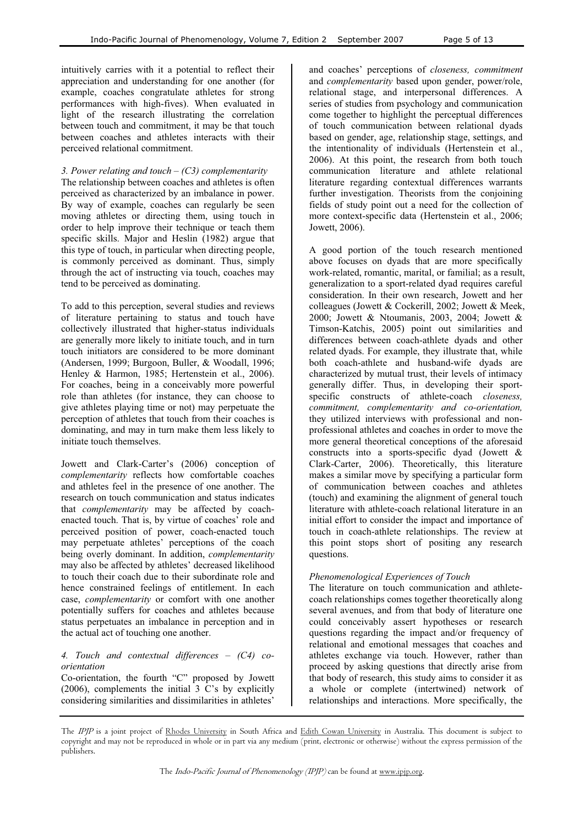intuitively carries with it a potential to reflect their appreciation and understanding for one another (for example, coaches congratulate athletes for strong performances with high-fives). When evaluated in light of the research illustrating the correlation between touch and commitment, it may be that touch between coaches and athletes interacts with their perceived relational commitment.

*3. Power relating and touch – (C3) complementarity* 

The relationship between coaches and athletes is often perceived as characterized by an imbalance in power. By way of example, coaches can regularly be seen moving athletes or directing them, using touch in order to help improve their technique or teach them specific skills. Major and Heslin (1982) argue that this type of touch, in particular when directing people, is commonly perceived as dominant. Thus, simply through the act of instructing via touch, coaches may tend to be perceived as dominating.

To add to this perception, several studies and reviews of literature pertaining to status and touch have collectively illustrated that higher-status individuals are generally more likely to initiate touch, and in turn touch initiators are considered to be more dominant (Andersen, 1999; Burgoon, Buller, & Woodall, 1996; Henley & Harmon, 1985; Hertenstein et al., 2006). For coaches, being in a conceivably more powerful role than athletes (for instance, they can choose to give athletes playing time or not) may perpetuate the perception of athletes that touch from their coaches is dominating, and may in turn make them less likely to initiate touch themselves.

Jowett and Clark-Carter's (2006) conception of *complementarity* reflects how comfortable coaches and athletes feel in the presence of one another. The research on touch communication and status indicates that *complementarity* may be affected by coachenacted touch. That is, by virtue of coaches' role and perceived position of power, coach-enacted touch may perpetuate athletes' perceptions of the coach being overly dominant. In addition, *complementarity* may also be affected by athletes' decreased likelihood to touch their coach due to their subordinate role and hence constrained feelings of entitlement. In each case, *complementarity* or comfort with one another potentially suffers for coaches and athletes because status perpetuates an imbalance in perception and in the actual act of touching one another.

### *4. Touch and contextual differences – (C4) coorientation*

Co-orientation, the fourth "C" proposed by Jowett (2006), complements the initial 3 C's by explicitly considering similarities and dissimilarities in athletes'

and coaches' perceptions of *closeness, commitment*  and *complementarity* based upon gender, power/role, relational stage, and interpersonal differences. A series of studies from psychology and communication come together to highlight the perceptual differences of touch communication between relational dyads based on gender, age, relationship stage, settings, and the intentionality of individuals (Hertenstein et al., 2006). At this point, the research from both touch communication literature and athlete relational literature regarding contextual differences warrants further investigation. Theorists from the conjoining fields of study point out a need for the collection of more context-specific data (Hertenstein et al., 2006; Jowett, 2006).

A good portion of the touch research mentioned above focuses on dyads that are more specifically work-related, romantic, marital, or familial; as a result, generalization to a sport-related dyad requires careful consideration. In their own research, Jowett and her colleagues (Jowett & Cockerill, 2002; Jowett & Meek, 2000; Jowett & Ntoumanis, 2003, 2004; Jowett & Timson-Katchis, 2005) point out similarities and differences between coach-athlete dyads and other related dyads. For example, they illustrate that, while both coach-athlete and husband-wife dyads are characterized by mutual trust, their levels of intimacy generally differ. Thus, in developing their sportspecific constructs of athlete-coach *closeness, commitment, complementarity and co-orientation,*  they utilized interviews with professional and nonprofessional athletes and coaches in order to move the more general theoretical conceptions of the aforesaid constructs into a sports-specific dyad (Jowett & Clark-Carter, 2006). Theoretically, this literature makes a similar move by specifying a particular form of communication between coaches and athletes (touch) and examining the alignment of general touch literature with athlete-coach relational literature in an initial effort to consider the impact and importance of touch in coach-athlete relationships. The review at this point stops short of positing any research questions.

#### *Phenomenological Experiences of Touch*

The literature on touch communication and athletecoach relationships comes together theoretically along several avenues, and from that body of literature one could conceivably assert hypotheses or research questions regarding the impact and/or frequency of relational and emotional messages that coaches and athletes exchange via touch. However, rather than proceed by asking questions that directly arise from that body of research, this study aims to consider it as a whole or complete (intertwined) network of relationships and interactions. More specifically, the

The IPJP is a joint project of Rhodes University in South Africa and Edith Cowan University in Australia. This document is subject to copyright and may not be reproduced in whole or in part via any medium (print, electronic or otherwise) without the express permission of the publishers.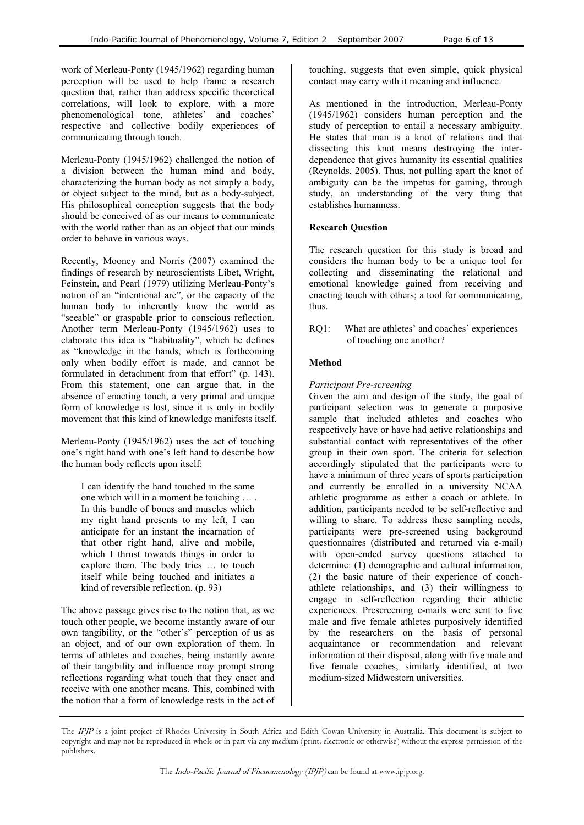work of Merleau-Ponty (1945/1962) regarding human perception will be used to help frame a research question that, rather than address specific theoretical correlations, will look to explore, with a more phenomenological tone, athletes' and coaches' respective and collective bodily experiences of communicating through touch.

Merleau-Ponty (1945/1962) challenged the notion of a division between the human mind and body, characterizing the human body as not simply a body, or object subject to the mind, but as a body-subject. His philosophical conception suggests that the body should be conceived of as our means to communicate with the world rather than as an object that our minds order to behave in various ways.

Recently, Mooney and Norris (2007) examined the findings of research by neuroscientists Libet, Wright, Feinstein, and Pearl (1979) utilizing Merleau-Ponty's notion of an "intentional arc", or the capacity of the human body to inherently know the world as "seeable" or graspable prior to conscious reflection. Another term Merleau-Ponty (1945/1962) uses to elaborate this idea is "habituality", which he defines as "knowledge in the hands, which is forthcoming only when bodily effort is made, and cannot be formulated in detachment from that effort" (p. 143). From this statement, one can argue that, in the absence of enacting touch, a very primal and unique form of knowledge is lost, since it is only in bodily movement that this kind of knowledge manifests itself.

Merleau-Ponty (1945/1962) uses the act of touching one's right hand with one's left hand to describe how the human body reflects upon itself:

I can identify the hand touched in the same one which will in a moment be touching … . In this bundle of bones and muscles which my right hand presents to my left, I can anticipate for an instant the incarnation of that other right hand, alive and mobile, which I thrust towards things in order to explore them. The body tries … to touch itself while being touched and initiates a kind of reversible reflection. (p. 93)

The above passage gives rise to the notion that, as we touch other people, we become instantly aware of our own tangibility, or the "other's" perception of us as an object, and of our own exploration of them. In terms of athletes and coaches, being instantly aware of their tangibility and influence may prompt strong reflections regarding what touch that they enact and receive with one another means. This, combined with the notion that a form of knowledge rests in the act of

touching, suggests that even simple, quick physical contact may carry with it meaning and influence.

As mentioned in the introduction, Merleau-Ponty (1945/1962) considers human perception and the study of perception to entail a necessary ambiguity. He states that man is a knot of relations and that dissecting this knot means destroying the interdependence that gives humanity its essential qualities (Reynolds, 2005). Thus, not pulling apart the knot of ambiguity can be the impetus for gaining, through study, an understanding of the very thing that establishes humanness.

### **Research Question**

The research question for this study is broad and considers the human body to be a unique tool for collecting and disseminating the relational and emotional knowledge gained from receiving and enacting touch with others; a tool for communicating, thus.

RQ1: What are athletes' and coaches' experiences of touching one another?

### **Method**

### *Participant Pre-screening*

Given the aim and design of the study, the goal of participant selection was to generate a purposive sample that included athletes and coaches who respectively have or have had active relationships and substantial contact with representatives of the other group in their own sport. The criteria for selection accordingly stipulated that the participants were to have a minimum of three years of sports participation and currently be enrolled in a university NCAA athletic programme as either a coach or athlete. In addition, participants needed to be self-reflective and willing to share. To address these sampling needs, participants were pre-screened using background questionnaires (distributed and returned via e-mail) with open-ended survey questions attached to determine: (1) demographic and cultural information, (2) the basic nature of their experience of coachathlete relationships, and (3) their willingness to engage in self-reflection regarding their athletic experiences. Prescreening e-mails were sent to five male and five female athletes purposively identified by the researchers on the basis of personal acquaintance or recommendation and relevant information at their disposal, along with five male and five female coaches, similarly identified, at two medium-sized Midwestern universities.

The IPJP is a joint project of Rhodes University in South Africa and Edith Cowan University in Australia. This document is subject to copyright and may not be reproduced in whole or in part via any medium (print, electronic or otherwise) without the express permission of the publishers.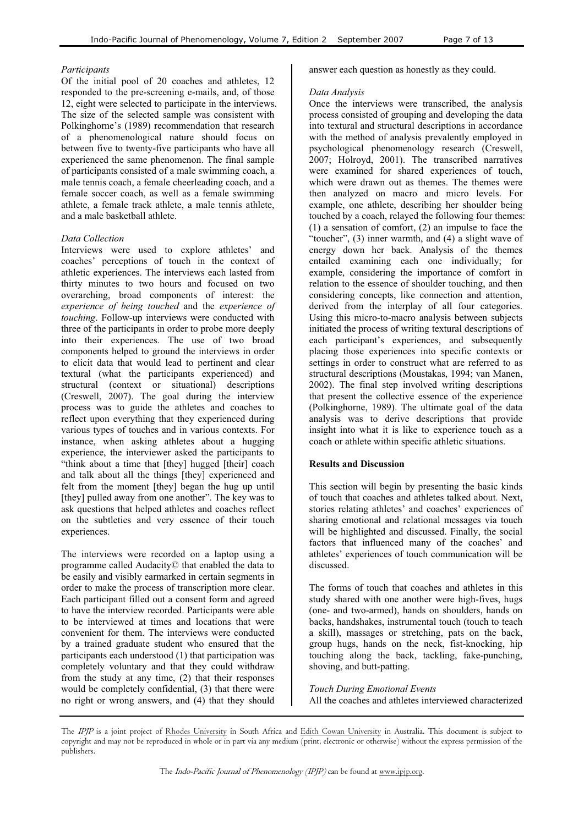# *Participants*

Of the initial pool of 20 coaches and athletes, 12 responded to the pre-screening e-mails, and, of those 12, eight were selected to participate in the interviews. The size of the selected sample was consistent with Polkinghorne's (1989) recommendation that research of a phenomenological nature should focus on between five to twenty-five participants who have all experienced the same phenomenon. The final sample of participants consisted of a male swimming coach, a male tennis coach, a female cheerleading coach, and a female soccer coach, as well as a female swimming athlete, a female track athlete, a male tennis athlete, and a male basketball athlete.

### *Data Collection*

Interviews were used to explore athletes' and coaches' perceptions of touch in the context of athletic experiences. The interviews each lasted from thirty minutes to two hours and focused on two overarching, broad components of interest: the *experience of being touched* and the *experience of touching*. Follow-up interviews were conducted with three of the participants in order to probe more deeply into their experiences. The use of two broad components helped to ground the interviews in order to elicit data that would lead to pertinent and clear textural (what the participants experienced) and structural (context or situational) descriptions (Creswell, 2007). The goal during the interview process was to guide the athletes and coaches to reflect upon everything that they experienced during various types of touches and in various contexts. For instance, when asking athletes about a hugging experience, the interviewer asked the participants to "think about a time that [they] hugged [their] coach and talk about all the things [they] experienced and felt from the moment [they] began the hug up until [they] pulled away from one another". The key was to ask questions that helped athletes and coaches reflect on the subtleties and very essence of their touch experiences.

The interviews were recorded on a laptop using a programme called Audacity© that enabled the data to be easily and visibly earmarked in certain segments in order to make the process of transcription more clear. Each participant filled out a consent form and agreed to have the interview recorded. Participants were able to be interviewed at times and locations that were convenient for them. The interviews were conducted by a trained graduate student who ensured that the participants each understood (1) that participation was completely voluntary and that they could withdraw from the study at any time, (2) that their responses would be completely confidential, (3) that there were no right or wrong answers, and (4) that they should

answer each question as honestly as they could.

### *Data Analysis*

Once the interviews were transcribed, the analysis process consisted of grouping and developing the data into textural and structural descriptions in accordance with the method of analysis prevalently employed in psychological phenomenology research (Creswell, 2007; Holroyd, 2001). The transcribed narratives were examined for shared experiences of touch, which were drawn out as themes. The themes were then analyzed on macro and micro levels. For example, one athlete, describing her shoulder being touched by a coach, relayed the following four themes: (1) a sensation of comfort, (2) an impulse to face the "toucher", (3) inner warmth, and (4) a slight wave of energy down her back. Analysis of the themes entailed examining each one individually; for example, considering the importance of comfort in relation to the essence of shoulder touching, and then considering concepts, like connection and attention, derived from the interplay of all four categories. Using this micro-to-macro analysis between subjects initiated the process of writing textural descriptions of each participant's experiences, and subsequently placing those experiences into specific contexts or settings in order to construct what are referred to as structural descriptions (Moustakas, 1994; van Manen, 2002). The final step involved writing descriptions that present the collective essence of the experience (Polkinghorne, 1989). The ultimate goal of the data analysis was to derive descriptions that provide insight into what it is like to experience touch as a coach or athlete within specific athletic situations.

### **Results and Discussion**

This section will begin by presenting the basic kinds of touch that coaches and athletes talked about. Next, stories relating athletes' and coaches' experiences of sharing emotional and relational messages via touch will be highlighted and discussed. Finally, the social factors that influenced many of the coaches' and athletes' experiences of touch communication will be discussed.

The forms of touch that coaches and athletes in this study shared with one another were high-fives, hugs (one- and two-armed), hands on shoulders, hands on backs, handshakes, instrumental touch (touch to teach a skill), massages or stretching, pats on the back, group hugs, hands on the neck, fist-knocking, hip touching along the back, tackling, fake-punching, shoving, and butt-patting.

*Touch During Emotional Events*  All the coaches and athletes interviewed characterized

The IPJP is a joint project of Rhodes University in South Africa and Edith Cowan University in Australia. This document is subject to copyright and may not be reproduced in whole or in part via any medium (print, electronic or otherwise) without the express permission of the publishers.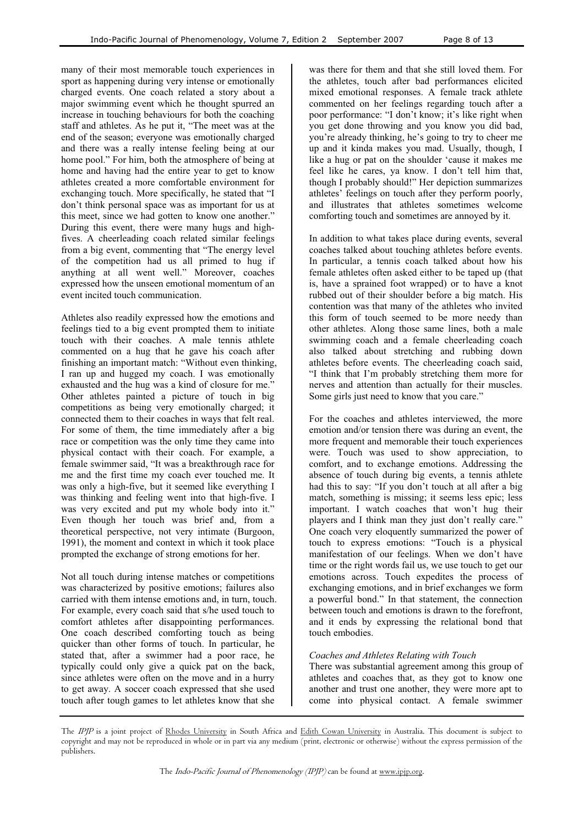many of their most memorable touch experiences in sport as happening during very intense or emotionally charged events. One coach related a story about a major swimming event which he thought spurred an increase in touching behaviours for both the coaching staff and athletes. As he put it, "The meet was at the end of the season; everyone was emotionally charged and there was a really intense feeling being at our home pool." For him, both the atmosphere of being at home and having had the entire year to get to know athletes created a more comfortable environment for exchanging touch. More specifically, he stated that "I don't think personal space was as important for us at this meet, since we had gotten to know one another." During this event, there were many hugs and highfives. A cheerleading coach related similar feelings from a big event, commenting that "The energy level of the competition had us all primed to hug if anything at all went well." Moreover, coaches expressed how the unseen emotional momentum of an event incited touch communication.

Athletes also readily expressed how the emotions and feelings tied to a big event prompted them to initiate touch with their coaches. A male tennis athlete commented on a hug that he gave his coach after finishing an important match: "Without even thinking, I ran up and hugged my coach. I was emotionally exhausted and the hug was a kind of closure for me." Other athletes painted a picture of touch in big competitions as being very emotionally charged; it connected them to their coaches in ways that felt real. For some of them, the time immediately after a big race or competition was the only time they came into physical contact with their coach. For example, a female swimmer said, "It was a breakthrough race for me and the first time my coach ever touched me. It was only a high-five, but it seemed like everything I was thinking and feeling went into that high-five. I was very excited and put my whole body into it." Even though her touch was brief and, from a theoretical perspective, not very intimate (Burgoon, 1991), the moment and context in which it took place prompted the exchange of strong emotions for her.

Not all touch during intense matches or competitions was characterized by positive emotions; failures also carried with them intense emotions and, in turn, touch. For example, every coach said that s/he used touch to comfort athletes after disappointing performances. One coach described comforting touch as being quicker than other forms of touch. In particular, he stated that, after a swimmer had a poor race, he typically could only give a quick pat on the back, since athletes were often on the move and in a hurry to get away. A soccer coach expressed that she used touch after tough games to let athletes know that she

was there for them and that she still loved them. For the athletes, touch after bad performances elicited mixed emotional responses. A female track athlete commented on her feelings regarding touch after a poor performance: "I don't know; it's like right when you get done throwing and you know you did bad, you're already thinking, he's going to try to cheer me up and it kinda makes you mad. Usually, though, I like a hug or pat on the shoulder 'cause it makes me feel like he cares, ya know. I don't tell him that, though I probably should!" Her depiction summarizes athletes' feelings on touch after they perform poorly, and illustrates that athletes sometimes welcome comforting touch and sometimes are annoyed by it.

In addition to what takes place during events, several coaches talked about touching athletes before events. In particular, a tennis coach talked about how his female athletes often asked either to be taped up (that is, have a sprained foot wrapped) or to have a knot rubbed out of their shoulder before a big match. His contention was that many of the athletes who invited this form of touch seemed to be more needy than other athletes. Along those same lines, both a male swimming coach and a female cheerleading coach also talked about stretching and rubbing down athletes before events. The cheerleading coach said, "I think that I'm probably stretching them more for nerves and attention than actually for their muscles. Some girls just need to know that you care."

For the coaches and athletes interviewed, the more emotion and/or tension there was during an event, the more frequent and memorable their touch experiences were. Touch was used to show appreciation, to comfort, and to exchange emotions. Addressing the absence of touch during big events, a tennis athlete had this to say: "If you don't touch at all after a big match, something is missing; it seems less epic; less important. I watch coaches that won't hug their players and I think man they just don't really care." One coach very eloquently summarized the power of touch to express emotions: "Touch is a physical manifestation of our feelings. When we don't have time or the right words fail us, we use touch to get our emotions across. Touch expedites the process of exchanging emotions, and in brief exchanges we form a powerful bond." In that statement, the connection between touch and emotions is drawn to the forefront, and it ends by expressing the relational bond that touch embodies.

#### *Coaches and Athletes Relating with Touch*

There was substantial agreement among this group of athletes and coaches that, as they got to know one another and trust one another, they were more apt to come into physical contact. A female swimmer

The IPJP is a joint project of Rhodes University in South Africa and Edith Cowan University in Australia. This document is subject to copyright and may not be reproduced in whole or in part via any medium (print, electronic or otherwise) without the express permission of the publishers.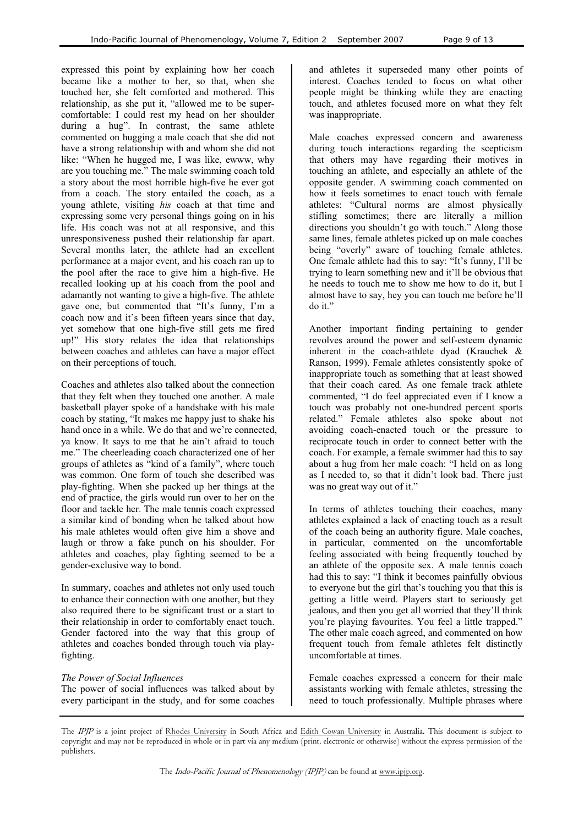expressed this point by explaining how her coach became like a mother to her, so that, when she touched her, she felt comforted and mothered. This relationship, as she put it, "allowed me to be supercomfortable: I could rest my head on her shoulder during a hug". In contrast, the same athlete commented on hugging a male coach that she did not have a strong relationship with and whom she did not like: "When he hugged me, I was like, ewww, why are you touching me." The male swimming coach told a story about the most horrible high-five he ever got from a coach. The story entailed the coach, as a young athlete, visiting *his* coach at that time and expressing some very personal things going on in his life. His coach was not at all responsive, and this unresponsiveness pushed their relationship far apart. Several months later, the athlete had an excellent performance at a major event, and his coach ran up to the pool after the race to give him a high-five. He recalled looking up at his coach from the pool and adamantly not wanting to give a high-five. The athlete gave one, but commented that "It's funny, I'm a coach now and it's been fifteen years since that day, yet somehow that one high-five still gets me fired up!" His story relates the idea that relationships between coaches and athletes can have a major effect on their perceptions of touch.

Coaches and athletes also talked about the connection that they felt when they touched one another. A male basketball player spoke of a handshake with his male coach by stating, "It makes me happy just to shake his hand once in a while. We do that and we're connected, ya know. It says to me that he ain't afraid to touch me." The cheerleading coach characterized one of her groups of athletes as "kind of a family", where touch was common. One form of touch she described was play-fighting. When she packed up her things at the end of practice, the girls would run over to her on the floor and tackle her. The male tennis coach expressed a similar kind of bonding when he talked about how his male athletes would often give him a shove and laugh or throw a fake punch on his shoulder. For athletes and coaches, play fighting seemed to be a gender-exclusive way to bond.

In summary, coaches and athletes not only used touch to enhance their connection with one another, but they also required there to be significant trust or a start to their relationship in order to comfortably enact touch. Gender factored into the way that this group of athletes and coaches bonded through touch via playfighting.

#### *The Power of Social Influences*

The power of social influences was talked about by every participant in the study, and for some coaches and athletes it superseded many other points of interest. Coaches tended to focus on what other people might be thinking while they are enacting touch, and athletes focused more on what they felt was inappropriate.

Male coaches expressed concern and awareness during touch interactions regarding the scepticism that others may have regarding their motives in touching an athlete, and especially an athlete of the opposite gender. A swimming coach commented on how it feels sometimes to enact touch with female athletes: "Cultural norms are almost physically stifling sometimes; there are literally a million directions you shouldn't go with touch." Along those same lines, female athletes picked up on male coaches being "overly" aware of touching female athletes. One female athlete had this to say: "It's funny, I'll be trying to learn something new and it'll be obvious that he needs to touch me to show me how to do it, but I almost have to say, hey you can touch me before he'll do it."

Another important finding pertaining to gender revolves around the power and self-esteem dynamic inherent in the coach-athlete dyad (Krauchek & Ranson, 1999). Female athletes consistently spoke of inappropriate touch as something that at least showed that their coach cared. As one female track athlete commented, "I do feel appreciated even if I know a touch was probably not one-hundred percent sports related." Female athletes also spoke about not avoiding coach-enacted touch or the pressure to reciprocate touch in order to connect better with the coach. For example, a female swimmer had this to say about a hug from her male coach: "I held on as long as I needed to, so that it didn't look bad. There just was no great way out of it."

In terms of athletes touching their coaches, many athletes explained a lack of enacting touch as a result of the coach being an authority figure. Male coaches, in particular, commented on the uncomfortable feeling associated with being frequently touched by an athlete of the opposite sex. A male tennis coach had this to say: "I think it becomes painfully obvious to everyone but the girl that's touching you that this is getting a little weird. Players start to seriously get jealous, and then you get all worried that they'll think you're playing favourites. You feel a little trapped." The other male coach agreed, and commented on how frequent touch from female athletes felt distinctly uncomfortable at times.

Female coaches expressed a concern for their male assistants working with female athletes, stressing the need to touch professionally. Multiple phrases where

The IPJP is a joint project of Rhodes University in South Africa and Edith Cowan University in Australia. This document is subject to copyright and may not be reproduced in whole or in part via any medium (print, electronic or otherwise) without the express permission of the publishers.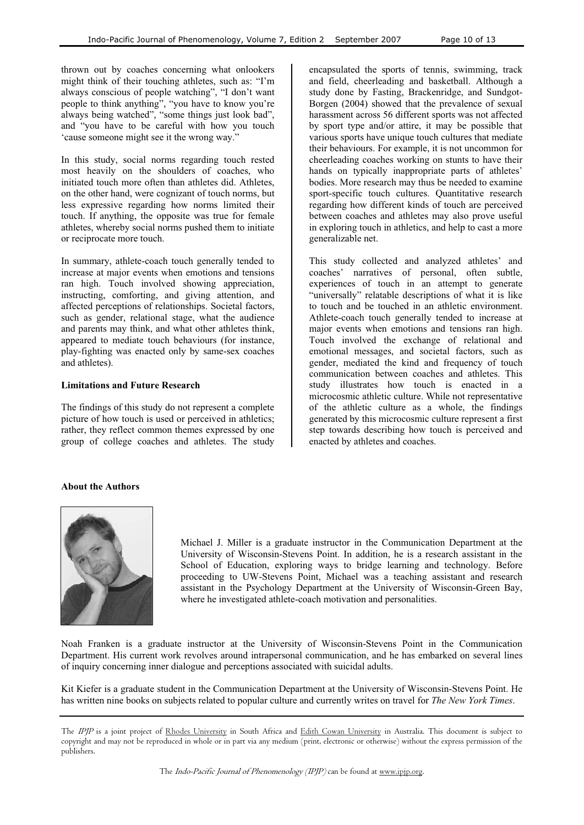thrown out by coaches concerning what onlookers might think of their touching athletes, such as: "I'm always conscious of people watching", "I don't want people to think anything", "you have to know you're always being watched", "some things just look bad", and "you have to be careful with how you touch 'cause someone might see it the wrong way."

In this study, social norms regarding touch rested most heavily on the shoulders of coaches, who initiated touch more often than athletes did. Athletes, on the other hand, were cognizant of touch norms, but less expressive regarding how norms limited their touch. If anything, the opposite was true for female athletes, whereby social norms pushed them to initiate or reciprocate more touch.

In summary, athlete-coach touch generally tended to increase at major events when emotions and tensions ran high. Touch involved showing appreciation, instructing, comforting, and giving attention, and affected perceptions of relationships. Societal factors, such as gender, relational stage, what the audience and parents may think, and what other athletes think, appeared to mediate touch behaviours (for instance, play-fighting was enacted only by same-sex coaches and athletes).

### **Limitations and Future Research**

The findings of this study do not represent a complete picture of how touch is used or perceived in athletics; rather, they reflect common themes expressed by one group of college coaches and athletes. The study encapsulated the sports of tennis, swimming, track and field, cheerleading and basketball. Although a study done by Fasting, Brackenridge, and Sundgot-Borgen (2004) showed that the prevalence of sexual harassment across 56 different sports was not affected by sport type and/or attire, it may be possible that various sports have unique touch cultures that mediate their behaviours. For example, it is not uncommon for cheerleading coaches working on stunts to have their hands on typically inappropriate parts of athletes' bodies. More research may thus be needed to examine sport-specific touch cultures. Quantitative research regarding how different kinds of touch are perceived between coaches and athletes may also prove useful in exploring touch in athletics, and help to cast a more generalizable net.

This study collected and analyzed athletes' and coaches' narratives of personal, often subtle, experiences of touch in an attempt to generate "universally" relatable descriptions of what it is like to touch and be touched in an athletic environment. Athlete-coach touch generally tended to increase at major events when emotions and tensions ran high. Touch involved the exchange of relational and emotional messages, and societal factors, such as gender, mediated the kind and frequency of touch communication between coaches and athletes. This study illustrates how touch is enacted in a microcosmic athletic culture. While not representative of the athletic culture as a whole, the findings generated by this microcosmic culture represent a first step towards describing how touch is perceived and enacted by athletes and coaches.

# **About the Authors**



Michael J. Miller is a graduate instructor in the Communication Department at the University of Wisconsin-Stevens Point. In addition, he is a research assistant in the School of Education, exploring ways to bridge learning and technology. Before proceeding to UW-Stevens Point, Michael was a teaching assistant and research assistant in the Psychology Department at the University of Wisconsin-Green Bay, where he investigated athlete-coach motivation and personalities.

Noah Franken is a graduate instructor at the University of Wisconsin-Stevens Point in the Communication Department. His current work revolves around intrapersonal communication, and he has embarked on several lines of inquiry concerning inner dialogue and perceptions associated with suicidal adults.

Kit Kiefer is a graduate student in the Communication Department at the University of Wisconsin-Stevens Point. He has written nine books on subjects related to popular culture and currently writes on travel for *The New York Times*.

The IPJP is a joint project of Rhodes University in South Africa and Edith Cowan University in Australia. This document is subject to copyright and may not be reproduced in whole or in part via any medium (print, electronic or otherwise) without the express permission of the publishers.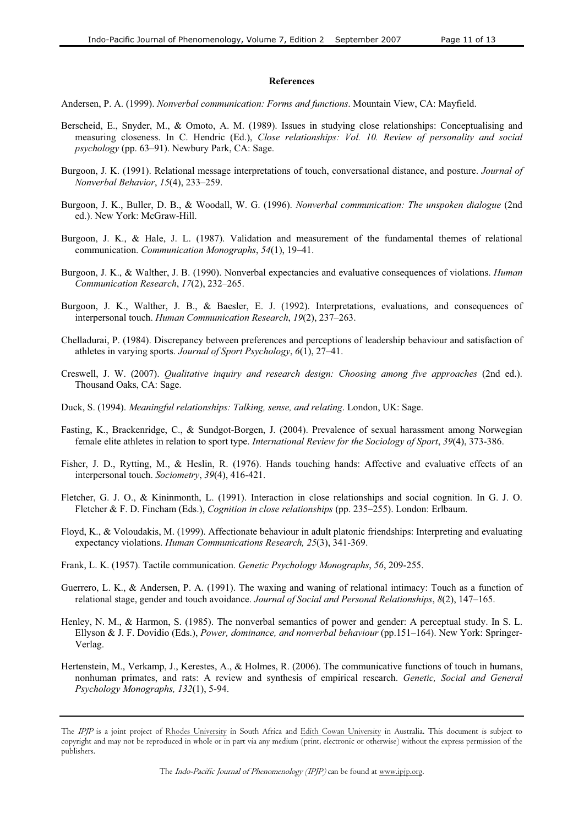#### **References**

Andersen, P. A. (1999). *Nonverbal communication: Forms and functions*. Mountain View, CA: Mayfield.

- Berscheid, E., Snyder, M., & Omoto, A. M. (1989). Issues in studying close relationships: Conceptualising and measuring closeness. In C. Hendric (Ed.), *Close relationships: Vol. 10. Review of personality and social psychology* (pp. 63–91). Newbury Park, CA: Sage.
- Burgoon, J. K. (1991). Relational message interpretations of touch, conversational distance, and posture. *Journal of Nonverbal Behavior*, *15*(4), 233–259.
- Burgoon, J. K., Buller, D. B., & Woodall, W. G. (1996). *Nonverbal communication: The unspoken dialogue* (2nd ed.). New York: McGraw-Hill.
- Burgoon, J. K., & Hale, J. L. (1987). Validation and measurement of the fundamental themes of relational communication. *Communication Monographs*, *54*(1), 19–41.
- Burgoon, J. K., & Walther, J. B. (1990). Nonverbal expectancies and evaluative consequences of violations. *Human Communication Research*, *17*(2), 232–265.
- Burgoon, J. K., Walther, J. B., & Baesler, E. J. (1992). Interpretations, evaluations, and consequences of interpersonal touch. *Human Communication Research*, *19*(2), 237–263.
- Chelladurai, P. (1984). Discrepancy between preferences and perceptions of leadership behaviour and satisfaction of athletes in varying sports. *Journal of Sport Psychology*, *6*(1), 27–41.
- Creswell, J. W. (2007). *Qualitative inquiry and research design: Choosing among five approaches* (2nd ed.). Thousand Oaks, CA: Sage.
- Duck, S. (1994). *Meaningful relationships: Talking, sense, and relating*. London, UK: Sage.
- Fasting, K., Brackenridge, C., & Sundgot-Borgen, J. (2004). Prevalence of sexual harassment among Norwegian female elite athletes in relation to sport type. *International Review for the Sociology of Sport*, *39*(4), 373-386.
- Fisher, J. D., Rytting, M., & Heslin, R. (1976). Hands touching hands: Affective and evaluative effects of an interpersonal touch. *Sociometry*, *39*(4), 416-421.
- Fletcher, G. J. O., & Kininmonth, L. (1991). Interaction in close relationships and social cognition. In G. J. O. Fletcher & F. D. Fincham (Eds.), *Cognition in close relationships* (pp. 235–255). London: Erlbaum.
- Floyd, K., & Voloudakis, M. (1999). Affectionate behaviour in adult platonic friendships: Interpreting and evaluating expectancy violations. *Human Communications Research, 25*(3), 341-369.
- Frank, L. K. (1957). Tactile communication. *Genetic Psychology Monographs*, *56*, 209-255.
- Guerrero, L. K., & Andersen, P. A. (1991). The waxing and waning of relational intimacy: Touch as a function of relational stage, gender and touch avoidance. *Journal of Social and Personal Relationships*, *8*(2), 147–165.
- Henley, N. M., & Harmon, S. (1985). The nonverbal semantics of power and gender: A perceptual study. In S. L. Ellyson & J. F. Dovidio (Eds.), *Power, dominance, and nonverbal behaviour* (pp.151–164). New York: Springer-Verlag.
- Hertenstein, M., Verkamp, J., Kerestes, A., & Holmes, R. (2006). The communicative functions of touch in humans, nonhuman primates, and rats: A review and synthesis of empirical research. *Genetic, Social and General Psychology Monographs, 132*(1), 5-94.

The IPJP is a joint project of Rhodes University in South Africa and Edith Cowan University in Australia. This document is subject to copyright and may not be reproduced in whole or in part via any medium (print, electronic or otherwise) without the express permission of the publishers.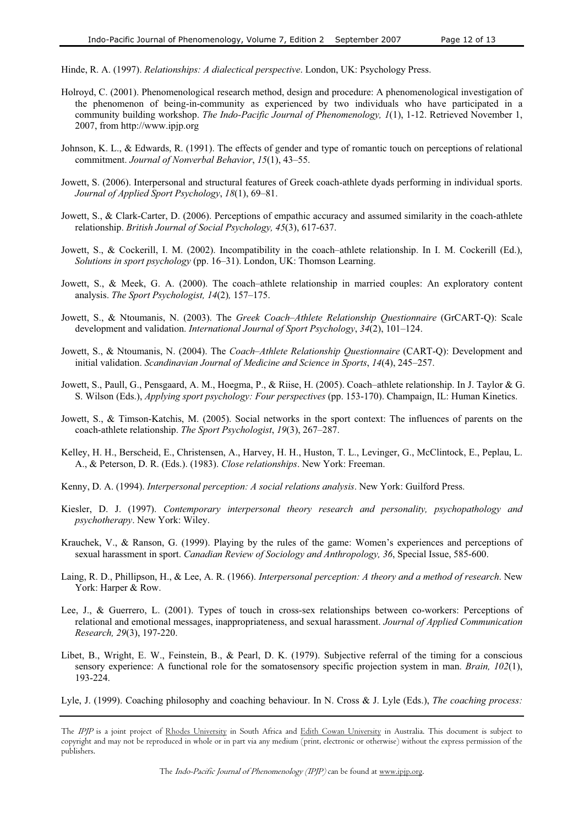Hinde, R. A. (1997). *Relationships: A dialectical perspective*. London, UK: Psychology Press.

- Holroyd, C. (2001). Phenomenological research method, design and procedure: A phenomenological investigation of the phenomenon of being-in-community as experienced by two individuals who have participated in a community building workshop. *The Indo-Pacific Journal of Phenomenology, 1*(1), 1-12. Retrieved November 1, 2007, from http://www.ipjp.org
- Johnson, K. L., & Edwards, R. (1991). The effects of gender and type of romantic touch on perceptions of relational commitment. *Journal of Nonverbal Behavior*, *15*(1), 43–55.
- Jowett, S. (2006). Interpersonal and structural features of Greek coach-athlete dyads performing in individual sports. *Journal of Applied Sport Psychology*, *18*(1), 69–81.
- Jowett, S., & Clark-Carter, D. (2006). Perceptions of empathic accuracy and assumed similarity in the coach-athlete relationship. *British Journal of Social Psychology, 45*(3), 617-637.
- Jowett, S., & Cockerill, I. M. (2002). Incompatibility in the coach–athlete relationship. In I. M. Cockerill (Ed.), *Solutions in sport psychology* (pp. 16–31). London, UK: Thomson Learning.
- Jowett, S., & Meek, G. A. (2000). The coach–athlete relationship in married couples: An exploratory content analysis. *The Sport Psychologist, 14*(2)*,* 157–175.
- Jowett, S., & Ntoumanis, N. (2003). The *Greek Coach–Athlete Relationship Questionnaire* (GrCART-Q): Scale development and validation. *International Journal of Sport Psychology*, *34*(2), 101–124.
- Jowett, S., & Ntoumanis, N. (2004). The *Coach–Athlete Relationship Questionnaire* (CART-Q): Development and initial validation. *Scandinavian Journal of Medicine and Science in Sports*, *14*(4), 245–257.
- Jowett, S., Paull, G., Pensgaard, A. M., Hoegma, P., & Riise, H. (2005). Coach–athlete relationship. In J. Taylor & G. S. Wilson (Eds.), *Applying sport psychology: Four perspectives* (pp. 153-170). Champaign, IL: Human Kinetics.
- Jowett, S., & Timson-Katchis, M. (2005). Social networks in the sport context: The influences of parents on the coach-athlete relationship. *The Sport Psychologist*, *19*(3), 267–287.
- Kelley, H. H., Berscheid, E., Christensen, A., Harvey, H. H., Huston, T. L., Levinger, G., McClintock, E., Peplau, L. A., & Peterson, D. R. (Eds.). (1983). *Close relationships*. New York: Freeman.
- Kenny, D. A. (1994). *Interpersonal perception: A social relations analysis*. New York: Guilford Press.
- Kiesler, D. J. (1997). *Contemporary interpersonal theory research and personality, psychopathology and psychotherapy*. New York: Wiley.
- Krauchek, V., & Ranson, G. (1999). Playing by the rules of the game: Women's experiences and perceptions of sexual harassment in sport. *Canadian Review of Sociology and Anthropology, 36*, Special Issue, 585-600.
- Laing, R. D., Phillipson, H., & Lee, A. R. (1966). *Interpersonal perception: A theory and a method of research*. New York: Harper & Row.
- Lee, J., & Guerrero, L. (2001). Types of touch in cross-sex relationships between co-workers: Perceptions of relational and emotional messages, inappropriateness, and sexual harassment. *Journal of Applied Communication Research, 29*(3), 197-220.
- Libet, B., Wright, E. W., Feinstein, B., & Pearl, D. K. (1979). Subjective referral of the timing for a conscious sensory experience: A functional role for the somatosensory specific projection system in man. *Brain, 102*(1), 193-224.
- Lyle, J. (1999). Coaching philosophy and coaching behaviour. In N. Cross & J. Lyle (Eds.), *The coaching process:*

The IPJP is a joint project of Rhodes University in South Africa and Edith Cowan University in Australia. This document is subject to copyright and may not be reproduced in whole or in part via any medium (print, electronic or otherwise) without the express permission of the publishers.